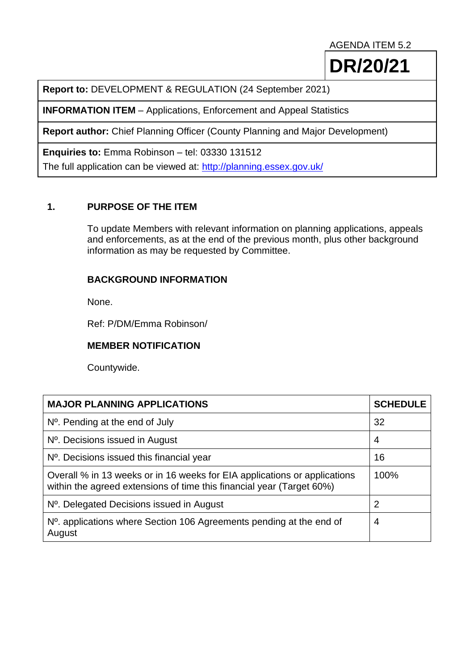AGENDA ITEM 5.2

**DR/20/21**

**Report to:** DEVELOPMENT & REGULATION (24 September 2021)

**INFORMATION ITEM** – Applications, Enforcement and Appeal Statistics

**Report author:** Chief Planning Officer (County Planning and Major Development)

**Enquiries to:** Emma Robinson – tel: 03330 131512

The full application can be viewed at:<http://planning.essex.gov.uk/>

## **1. PURPOSE OF THE ITEM**

To update Members with relevant information on planning applications, appeals and enforcements, as at the end of the previous month, plus other background information as may be requested by Committee.

## **BACKGROUND INFORMATION**

None.

Ref: P/DM/Emma Robinson/

## **MEMBER NOTIFICATION**

Countywide.

| <b>MAJOR PLANNING APPLICATIONS</b>                                                                                                                 | <b>SCHEDULE</b> |
|----------------------------------------------------------------------------------------------------------------------------------------------------|-----------------|
| $No$ . Pending at the end of July                                                                                                                  | 32              |
| N <sup>o</sup> . Decisions issued in August                                                                                                        | 4               |
| $No$ . Decisions issued this financial year                                                                                                        | 16              |
| Overall % in 13 weeks or in 16 weeks for EIA applications or applications<br>within the agreed extensions of time this financial year (Target 60%) | 100%            |
| N <sup>o</sup> . Delegated Decisions issued in August                                                                                              | $\overline{2}$  |
| N <sup>o</sup> . applications where Section 106 Agreements pending at the end of<br>August                                                         | 4               |